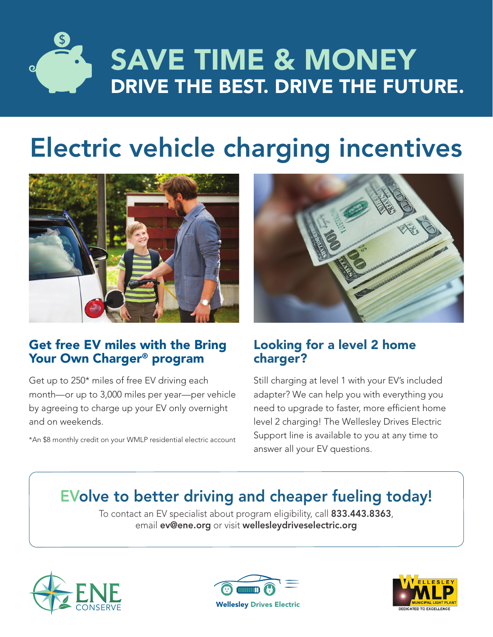

# Electric vehicle charging incentives



### Get free EV miles with the Bring Your Own Charger® program

Get up to 250\* miles of free EV driving each month—or up to 3,000 miles per year—per vehicle by agreeing to charge up your EV only overnight and on weekends.

\*An \$8 monthly credit on your WMLP residential electric account



### Looking for a level 2 home charger?

Still charging at level 1 with your EV's included adapter? We can help you with everything you need to upgrade to faster, more efficient home level 2 charging! The Wellesley Drives Electric Support line is available to you at any time to answer all your EV questions.

## EVolve to better driving and cheaper fueling today!

To contact an EV specialist about program eligibility, call 833.443.8363, email ev@ene.org or visit wellesleydriveselectric.org